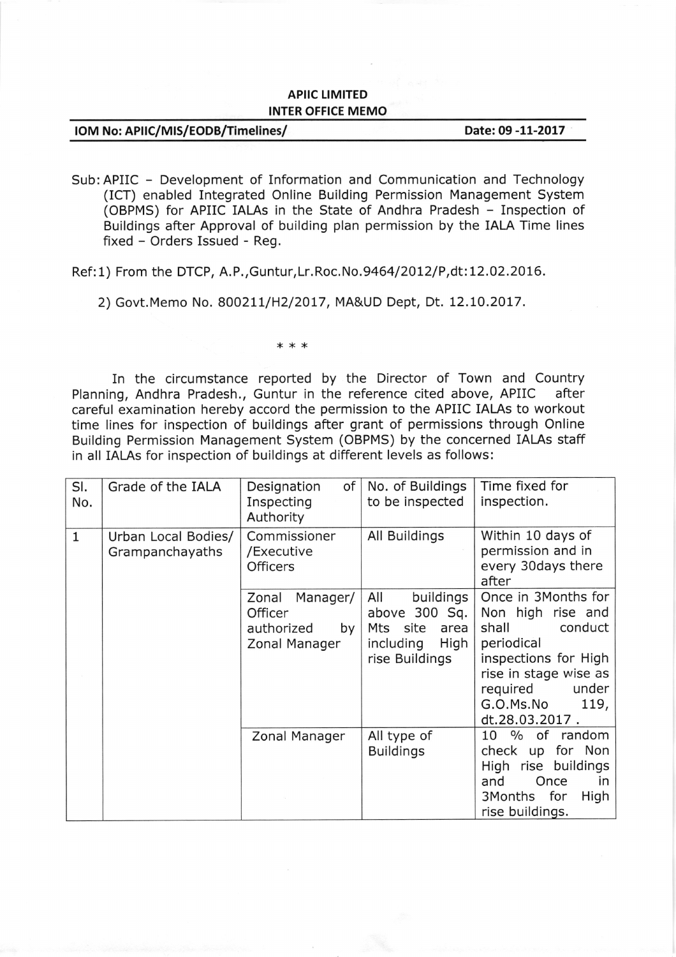## APIIC LIMITED INTER OFFICE MEMO

| IOM No: APIIC/MIS/EODB/Timelines/ | Date: 09 -11-2017 |
|-----------------------------------|-------------------|
|-----------------------------------|-------------------|

Sub:APIIC - Development of Information and Communication and Technology (ICT) enabled Integrated Online Building Permission Management System (OBPMS) for APIIC IALAs in the State of Andhra Pradesh - Inspection of Buildings after Approval of building plan permission by the IALA Time lines fixed - Orders Issued - Reg,

Ref:1) From the DTCP, A.P., Guntur, Lr. Roc. No. 9464/2012/P, dt:12.02.2016.

2) Govt. Memo No. 800211/H2/2017, MA&UD Dept, Dt. 12.10.2017.

\*\*\*

In the circumstance reported by the Director of Town and Country<br>ng. Andhra Pradesh.. Guntur in the reference cited above, APIIC after Planning, Andhra Pradesh., Guntur in the reference cited above, APIIC careful examination hereby accord the permission to the APIIC IALAs to workout time lines for inspection of buildings after grant of permissions through Online Building Permission Management System (OBPMS) by the concerned IALAs staff in all IALAs for inspection of buildings at different levels as follows:

| SI.<br>No.   | Grade of the IALA                      | Designation<br>of<br>Inspecting<br>Authority                      | No. of Buildings<br>to be inspected                                                             | Time fixed for<br>inspection.                                                                                                                                                           |
|--------------|----------------------------------------|-------------------------------------------------------------------|-------------------------------------------------------------------------------------------------|-----------------------------------------------------------------------------------------------------------------------------------------------------------------------------------------|
| $\mathbf{1}$ | Urban Local Bodies/<br>Grampanchayaths | Commissioner<br>/Executive<br><b>Officers</b>                     | All Buildings                                                                                   | Within 10 days of<br>permission and in<br>every 30days there<br>after                                                                                                                   |
|              |                                        | Manager/<br>Zonal<br>Officer<br>authorized<br>by<br>Zonal Manager | All<br>buildings<br>above 300 Sq.<br>site<br>Mts<br>area<br>High<br>including<br>rise Buildings | Once in 3Months for<br>Non high rise and<br>conduct<br>shall<br>periodical<br>inspections for High<br>rise in stage wise as<br>required<br>under<br>G.O.Ms.No<br>119,<br>dt.28.03.2017. |
|              |                                        | Zonal Manager                                                     | All type of<br><b>Buildings</b>                                                                 | % of<br>random<br>10<br>check up for Non<br>High rise buildings<br>and<br>Once<br>in<br>for<br>High<br>3Months<br>rise buildings.                                                       |